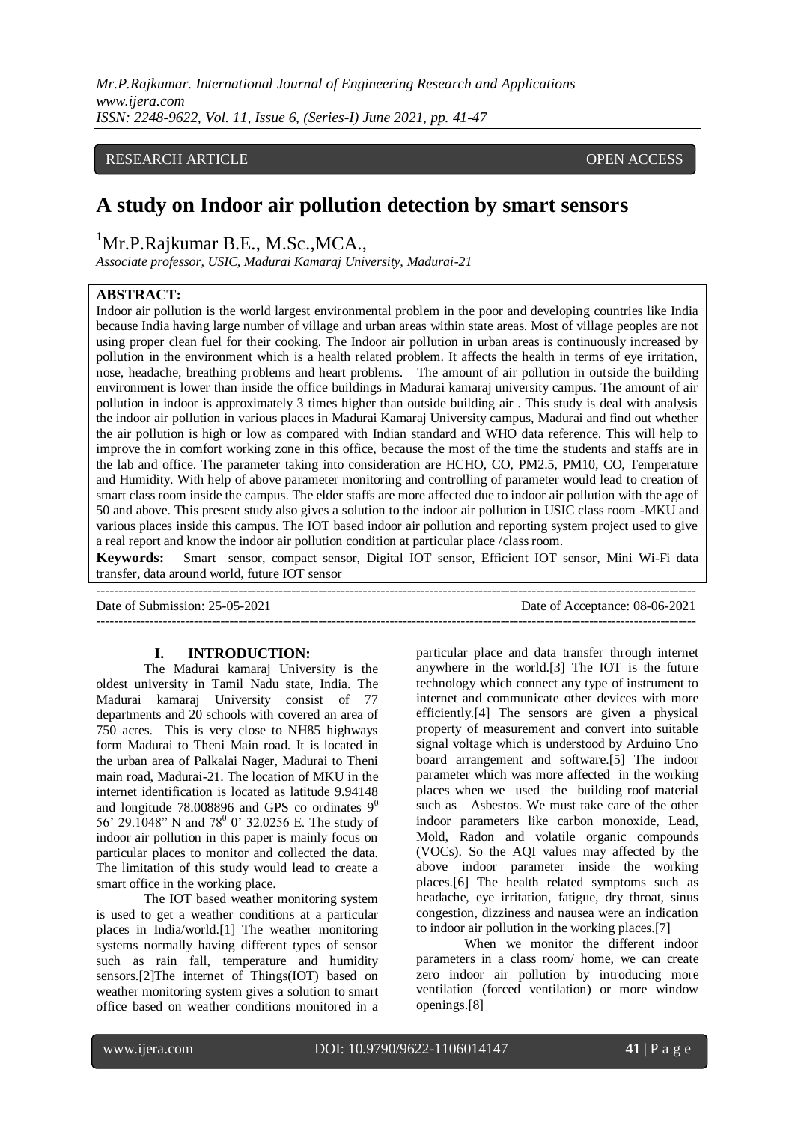*Mr.P.Rajkumar. International Journal of Engineering Research and Applications www.ijera.com ISSN: 2248-9622, Vol. 11, Issue 6, (Series-I) June 2021, pp. 41-47*

# RESEARCH ARTICLE OPEN ACCESS

# **A study on Indoor air pollution detection by smart sensors**

<sup>1</sup>Mr.P.Rajkumar B.E., M.Sc., MCA.,

*Associate professor, USIC, Madurai Kamaraj University, Madurai-21*

# **ABSTRACT:**

Indoor air pollution is the world largest environmental problem in the poor and developing countries like India because India having large number of village and urban areas within state areas. Most of village peoples are not using proper clean fuel for their cooking. The Indoor air pollution in urban areas is continuously increased by pollution in the environment which is a health related problem. It affects the health in terms of eye irritation, nose, headache, breathing problems and heart problems. The amount of air pollution in outside the building environment is lower than inside the office buildings in Madurai kamaraj university campus. The amount of air pollution in indoor is approximately 3 times higher than outside building air . This study is deal with analysis the indoor air pollution in various places in Madurai Kamaraj University campus, Madurai and find out whether the air pollution is high or low as compared with Indian standard and WHO data reference. This will help to improve the in comfort working zone in this office, because the most of the time the students and staffs are in the lab and office. The parameter taking into consideration are HCHO, CO, PM2.5, PM10, CO, Temperature and Humidity. With help of above parameter monitoring and controlling of parameter would lead to creation of smart class room inside the campus. The elder staffs are more affected due to indoor air pollution with the age of 50 and above. This present study also gives a solution to the indoor air pollution in USIC class room -MKU and various places inside this campus. The IOT based indoor air pollution and reporting system project used to give a real report and know the indoor air pollution condition at particular place /class room.

**Keywords:** Smart sensor, compact sensor, Digital IOT sensor, Efficient IOT sensor, Mini Wi-Fi data transfer, data around world, future IOT sensor

---------------------------------------------------------------------------------------------------------------------------------------

Date of Submission: 25-05-2021 Date of Acceptance: 08-06-2021

---------------------------------------------------------------------------------------------------------------------------------------

# **I. INTRODUCTION:**

The Madurai kamaraj University is the oldest university in Tamil Nadu state, India. The Madurai kamaraj University consist of 77 departments and 20 schools with covered an area of 750 acres. This is very close to NH85 highways form Madurai to Theni Main road. It is located in the urban area of Palkalai Nager, Madurai to Theni main road, Madurai-21. The location of MKU in the internet identification is located as latitude 9.94148 and longitude 78.008896 and GPS co ordinates  $9^0$ 56' 29.1048" N and 78<sup>0</sup> 0' 32.0256 E. The study of indoor air pollution in this paper is mainly focus on particular places to monitor and collected the data. The limitation of this study would lead to create a smart office in the working place.

The IOT based weather monitoring system is used to get a weather conditions at a particular places in India/world.[1] The weather monitoring systems normally having different types of sensor such as rain fall, temperature and humidity sensors.[2]The internet of Things(IOT) based on weather monitoring system gives a solution to smart office based on weather conditions monitored in a particular place and data transfer through internet anywhere in the world.[3] The IOT is the future technology which connect any type of instrument to internet and communicate other devices with more efficiently.[4] The sensors are given a physical property of measurement and convert into suitable signal voltage which is understood by Arduino Uno board arrangement and software.[5] The indoor parameter which was more affected in the working places when we used the building roof material such as Asbestos. We must take care of the other indoor parameters like carbon monoxide, Lead, Mold, Radon and volatile organic compounds (VOCs). So the AQI values may affected by the above indoor parameter inside the working places.[6] The health related symptoms such as headache, eye irritation, fatigue, dry throat, sinus congestion, dizziness and nausea were an indication to indoor air pollution in the working places.[7]

When we monitor the different indoor parameters in a class room/ home, we can create zero indoor air pollution by introducing more ventilation (forced ventilation) or more window openings.[8]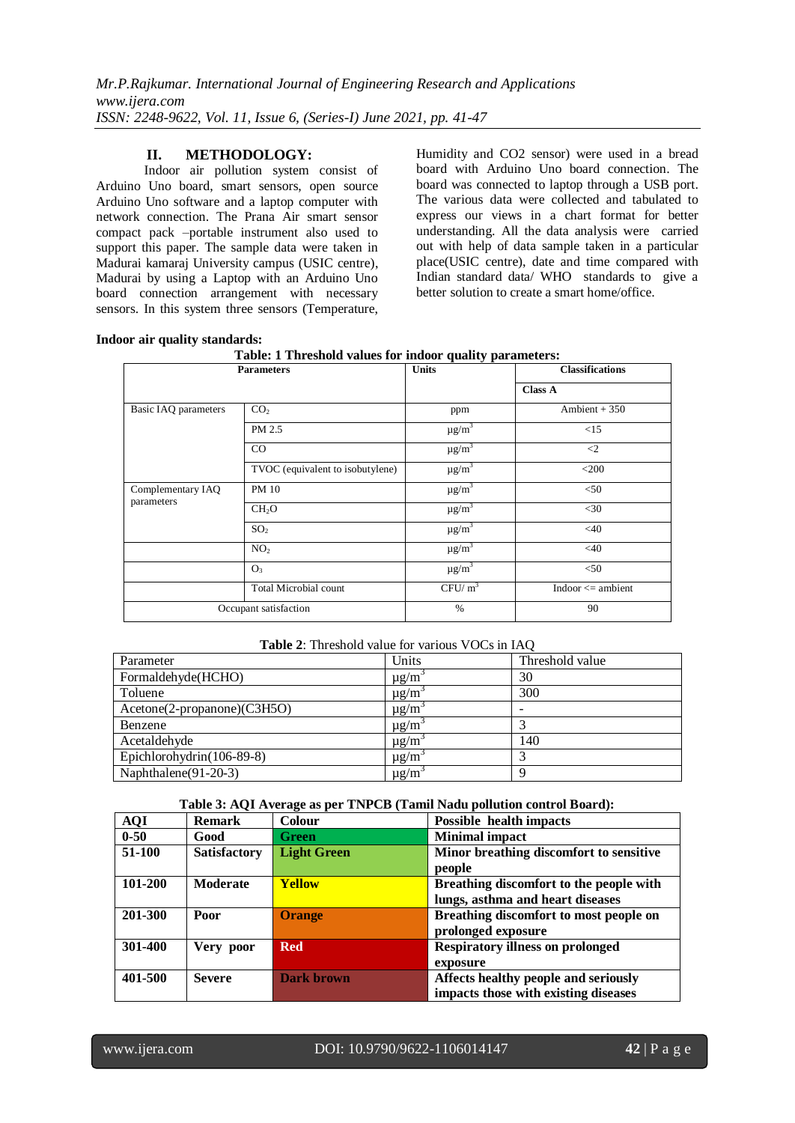# **II. METHODOLOGY:**

Indoor air pollution system consist of Arduino Uno board, smart sensors, open source Arduino Uno software and a laptop computer with network connection. The Prana Air smart sensor compact pack –portable instrument also used to support this paper. The sample data were taken in Madurai kamaraj University campus (USIC centre), Madurai by using a Laptop with an Arduino Uno board connection arrangement with necessary sensors. In this system three sensors (Temperature, Humidity and CO2 sensor) were used in a bread board with Arduino Uno board connection. The board was connected to laptop through a USB port. The various data were collected and tabulated to express our views in a chart format for better understanding. All the data analysis were carried out with help of data sample taken in a particular place(USIC centre), date and time compared with Indian standard data/ WHO standards to give a better solution to create a smart home/office.

## **Indoor air quality standards:**

|  | Table: 1 Threshold values for indoor quality parameters: |  |  |  |
|--|----------------------------------------------------------|--|--|--|
|--|----------------------------------------------------------|--|--|--|

| <b>Parameters</b>    |                                  | <b>Units</b>           | <b>Classifications</b> |
|----------------------|----------------------------------|------------------------|------------------------|
|                      |                                  |                        | <b>Class A</b>         |
| Basic IAQ parameters | CO <sub>2</sub>                  | ppm                    | Ambient + $350$        |
|                      | PM 2.5                           | $\mu g/\overline{m}^3$ | <15                    |
|                      | CO                               | $\mu$ g/m <sup>3</sup> | $\langle 2$            |
|                      | TVOC (equivalent to isobutylene) | $\mu$ g/m <sup>3</sup> | $<$ 200                |
| Complementary IAQ    | <b>PM 10</b>                     | $\mu$ g/m <sup>3</sup> | < 50                   |
| parameters           | CH <sub>2</sub> O                | $\mu$ g/m <sup>3</sup> | $<$ 30                 |
|                      | SO <sub>2</sub>                  | $\mu g/m^3$            | $<$ 40                 |
|                      | NO <sub>2</sub>                  | $\mu$ g/m <sup>3</sup> | $<$ 40                 |
|                      | O <sub>3</sub>                   | $\mu$ g/m <sup>3</sup> | $<$ 50                 |
|                      | Total Microbial count            | $CFU/m^3$              | Indoor $\leq$ ambient  |
|                      | Occupant satisfaction            | $\%$                   | 90                     |

#### **Table 2**: Threshold value for various VOCs in IAQ

| Parameter                    | Units     | Threshold value |
|------------------------------|-----------|-----------------|
| Formaldehyde(HCHO)           | $\mu$ g/m | 30              |
| Toluene                      | $\mu$ g/m | 300             |
| $Accept(2-propanone)(C3H5O)$ | $\mu$ g/m | -               |
| Benzene                      | $\mu$ g/m |                 |
| Acetaldehyde                 | $\mu$ g/m | 140             |
| Epichlorohydrin(106-89-8)    | $\mu$ g/m |                 |
| Naphthalene(91-20-3)         | $\mu$ g/m | Q               |

**Table 3: AQI Average as per TNPCB (Tamil Nadu pollution control Board):**

| <b>AQI</b> | <b>Remark</b>       | <b>Colour</b>      | <b>Possible health impacts</b>              |
|------------|---------------------|--------------------|---------------------------------------------|
| $0 - 50$   | Good                | <b>Green</b>       | <b>Minimal impact</b>                       |
| 51-100     | <b>Satisfactory</b> | <b>Light Green</b> | Minor breathing discomfort to sensitive     |
|            |                     |                    | people                                      |
| 101-200    | <b>Moderate</b>     | <b>Yellow</b>      | Breathing discomfort to the people with     |
|            |                     |                    | lungs, asthma and heart diseases            |
| 201-300    | Poor                | <b>Orange</b>      | Breathing discomfort to most people on      |
|            |                     |                    | prolonged exposure                          |
| 301-400    | Very poor           | <b>Red</b>         | <b>Respiratory illness on prolonged</b>     |
|            |                     |                    | exposure                                    |
| 401-500    | <b>Severe</b>       | <b>Dark brown</b>  | <b>Affects healthy people and seriously</b> |
|            |                     |                    | impacts those with existing diseases        |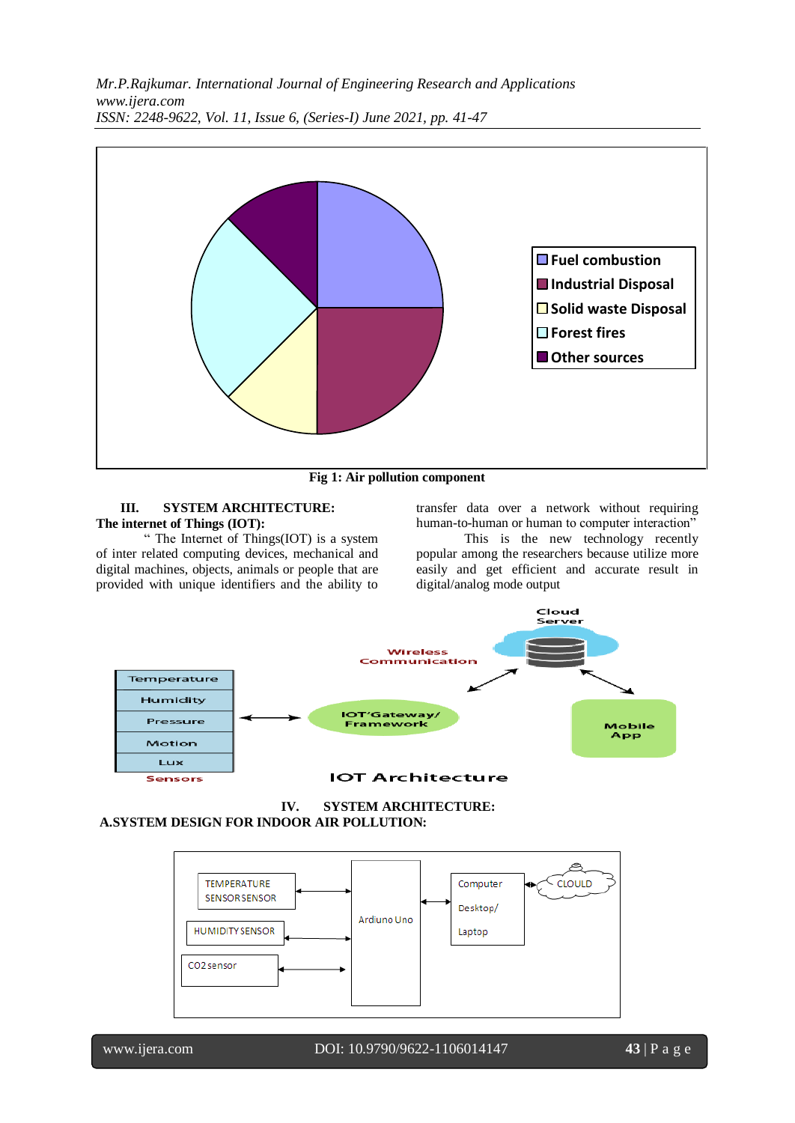

**Fig 1: Air pollution component**

# **III. SYSTEM ARCHITECTURE: The internet of Things (IOT):**

" The Internet of Things(IOT) is a system of inter related computing devices, mechanical and digital machines, objects, animals or people that are provided with unique identifiers and the ability to

transfer data over a network without requiring human-to-human or human to computer interaction"

This is the new technology recently popular among the researchers because utilize more easily and get efficient and accurate result in digital/analog mode output



**IV. SYSTEM ARCHITECTURE: A.SYSTEM DESIGN FOR INDOOR AIR POLLUTION:**

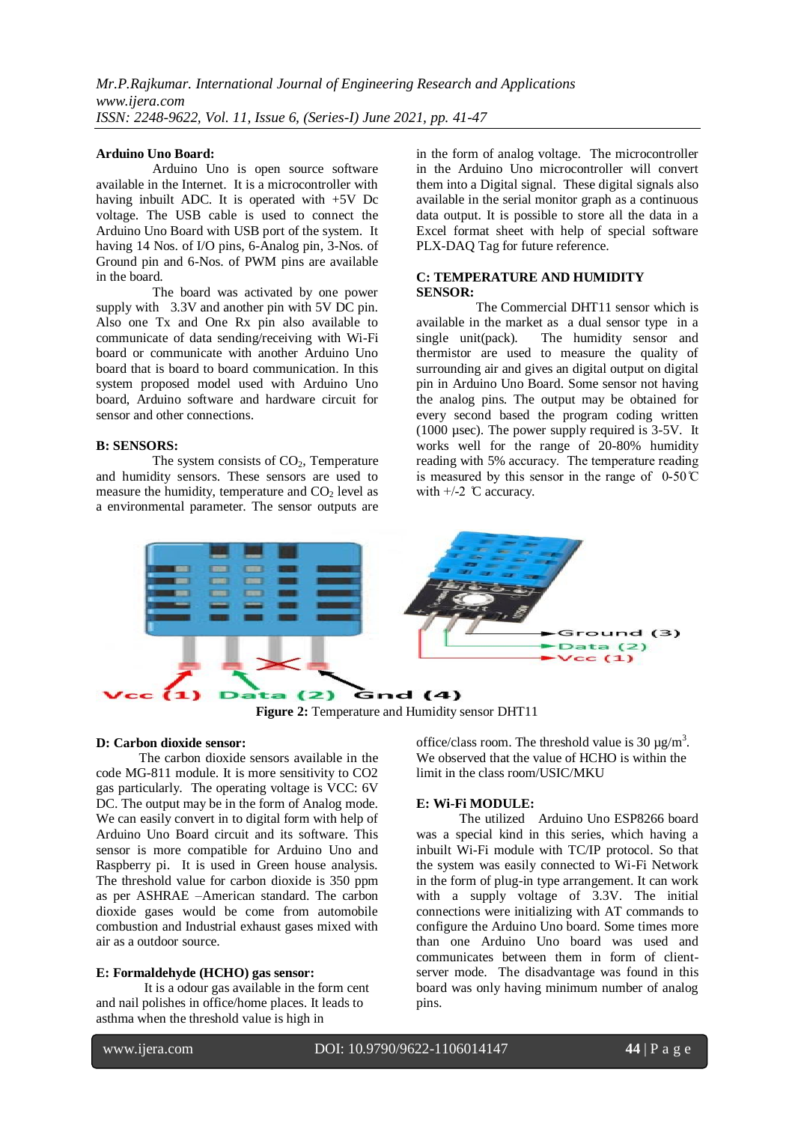#### **Arduino Uno Board:**

 Arduino Uno is open source software available in the Internet. It is a microcontroller with having inbuilt ADC. It is operated with  $+5V$  Dc voltage. The USB cable is used to connect the Arduino Uno Board with USB port of the system. It having 14 Nos. of I/O pins, 6-Analog pin, 3-Nos. of Ground pin and 6-Nos. of PWM pins are available in the board.

 The board was activated by one power supply with 3.3V and another pin with 5V DC pin. Also one Tx and One Rx pin also available to communicate of data sending/receiving with Wi-Fi board or communicate with another Arduino Uno board that is board to board communication. In this system proposed model used with Arduino Uno board, Arduino software and hardware circuit for sensor and other connections.

#### **B: SENSORS:**

The system consists of  $CO<sub>2</sub>$ , Temperature and humidity sensors. These sensors are used to measure the humidity, temperature and  $CO<sub>2</sub>$  level as a environmental parameter. The sensor outputs are in the form of analog voltage. The microcontroller in the Arduino Uno microcontroller will convert them into a Digital signal. These digital signals also available in the serial monitor graph as a continuous data output. It is possible to store all the data in a Excel format sheet with help of special software PLX-DAQ Tag for future reference.

## **C: TEMPERATURE AND HUMIDITY SENSOR:**

 The Commercial DHT11 sensor which is available in the market as a dual sensor type in a single unit(pack). The humidity sensor and thermistor are used to measure the quality of surrounding air and gives an digital output on digital pin in Arduino Uno Board. Some sensor not having the analog pins. The output may be obtained for every second based the program coding written (1000 µsec). The power supply required is 3-5V. It works well for the range of 20-80% humidity reading with 5% accuracy. The temperature reading is measured by this sensor in the range of  $0-50\degree$ C with  $+/-2$  C accuracy.



**Figure 2:** Temperature and Humidity sensor DHT11

# **D: Carbon dioxide sensor:**

 The carbon dioxide sensors available in the code MG-811 module. It is more sensitivity to CO2 gas particularly. The operating voltage is VCC: 6V DC. The output may be in the form of Analog mode. We can easily convert in to digital form with help of Arduino Uno Board circuit and its software. This sensor is more compatible for Arduino Uno and Raspberry pi. It is used in Green house analysis. The threshold value for carbon dioxide is 350 ppm as per ASHRAE –American standard. The carbon dioxide gases would be come from automobile combustion and Industrial exhaust gases mixed with air as a outdoor source.

#### **E: Formaldehyde (HCHO) gas sensor:**

It is a odour gas available in the form cent and nail polishes in office/home places. It leads to asthma when the threshold value is high in

office/class room. The threshold value is 30  $\mu$ g/m<sup>3</sup>. We observed that the value of HCHO is within the limit in the class room/USIC/MKU

# **E: Wi-Fi MODULE:**

 The utilized Arduino Uno ESP8266 board was a special kind in this series, which having a inbuilt Wi-Fi module with TC/IP protocol. So that the system was easily connected to Wi-Fi Network in the form of plug-in type arrangement. It can work with a supply voltage of 3.3V. The initial connections were initializing with AT commands to configure the Arduino Uno board. Some times more than one Arduino Uno board was used and communicates between them in form of clientserver mode. The disadvantage was found in this board was only having minimum number of analog pins.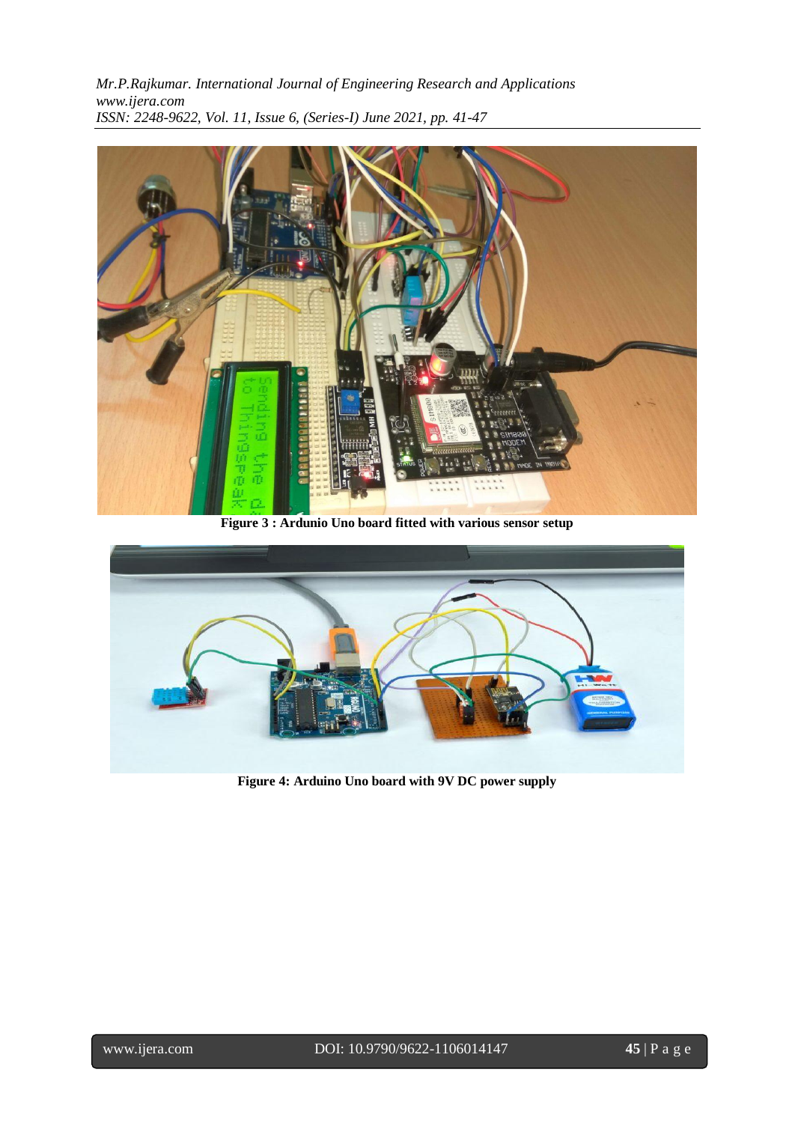*Mr.P.Rajkumar. International Journal of Engineering Research and Applications www.ijera.com ISSN: 2248-9622, Vol. 11, Issue 6, (Series-I) June 2021, pp. 41-47*



**Figure 3 : Ardunio Uno board fitted with various sensor setup**



**Figure 4: Arduino Uno board with 9V DC power supply**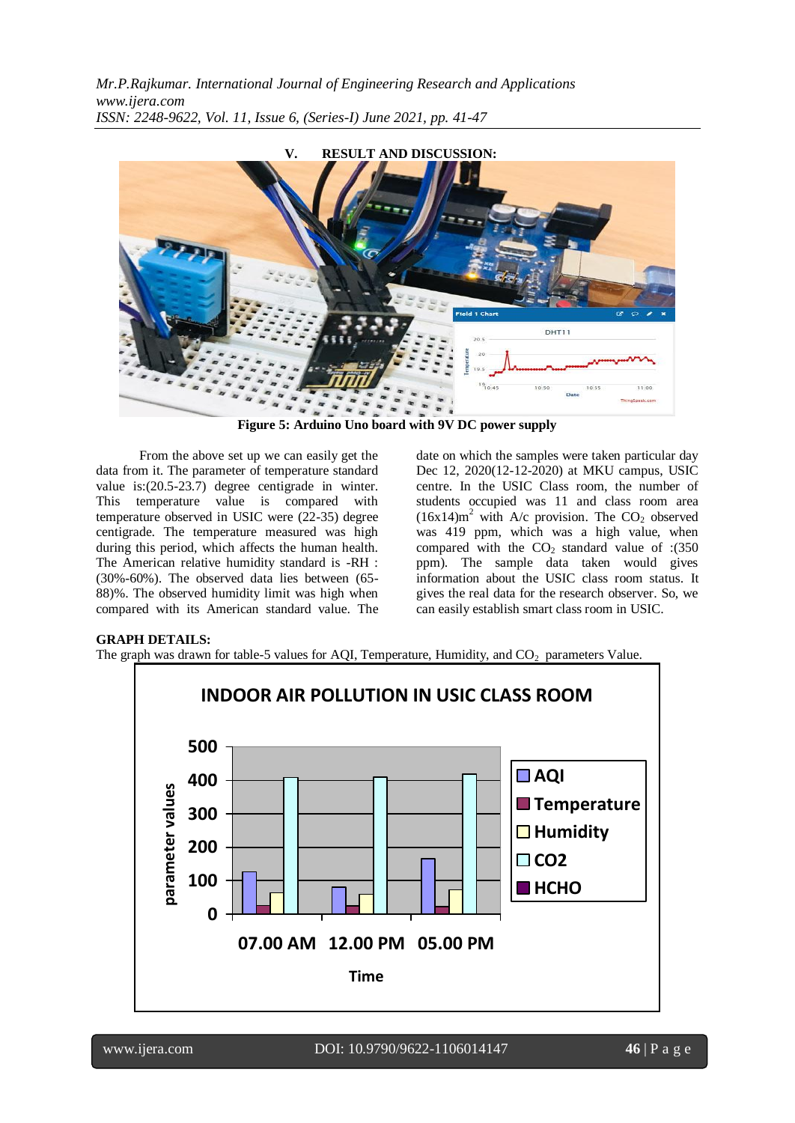

**Figure 5: Arduino Uno board with 9V DC power supply**

 From the above set up we can easily get the data from it. The parameter of temperature standard value is:(20.5-23.7) degree centigrade in winter. This temperature value is compared with temperature observed in USIC were (22-35) degree centigrade. The temperature measured was high during this period, which affects the human health. The American relative humidity standard is -RH : (30%-60%). The observed data lies between (65- 88)%. The observed humidity limit was high when compared with its American standard value. The

date on which the samples were taken particular day Dec 12, 2020(12-12-2020) at MKU campus, USIC centre. In the USIC Class room, the number of students occupied was 11 and class room area  $(16x14)m<sup>2</sup>$  with A/c provision. The CO<sub>2</sub> observed was 419 ppm, which was a high value, when compared with the  $CO<sub>2</sub>$  standard value of :(350 ppm). The sample data taken would gives information about the USIC class room status. It gives the real data for the research observer. So, we can easily establish smart class room in USIC.

#### **GRAPH DETAILS:**

The graph was drawn for table-5 values for AOI, Temperature, Humidity, and  $CO<sub>2</sub>$  parameters Value.